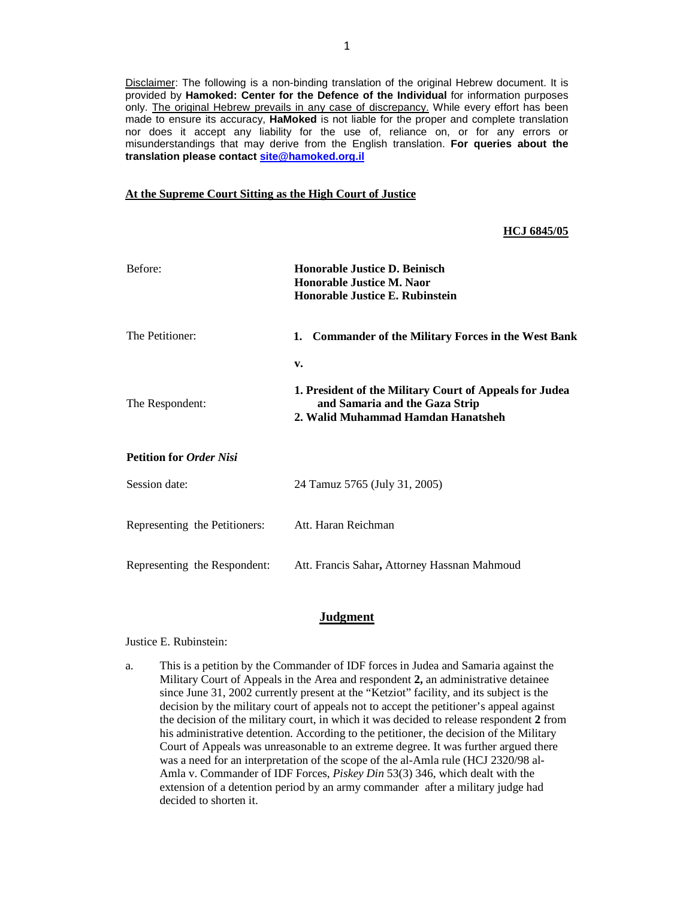Disclaimer: The following is a non-binding translation of the original Hebrew document. It is provided by **Hamoked: Center for the Defence of the Individual** for information purposes only. The original Hebrew prevails in any case of discrepancy. While every effort has been made to ensure its accuracy, **HaMoked** is not liable for the proper and complete translation nor does it accept any liability for the use of, reliance on, or for any errors or misunderstandings that may derive from the English translation. **For queries about the translation please contact site@hamoked.org.il**

## **At the Supreme Court Sitting as the High Court of Justice**

## **HCJ 6845/05**

| Before:                        | <b>Honorable Justice D. Beinisch</b><br><b>Honorable Justice M. Naor</b><br>Honorable Justice E. Rubinstein                           |
|--------------------------------|---------------------------------------------------------------------------------------------------------------------------------------|
| The Petitioner:                | <b>Commander of the Military Forces in the West Bank</b><br>1.                                                                        |
| The Respondent:                | v.<br>1. President of the Military Court of Appeals for Judea<br>and Samaria and the Gaza Strip<br>2. Walid Muhammad Hamdan Hanatsheh |
| <b>Petition for Order Nisi</b> |                                                                                                                                       |
| Session date:                  | 24 Tamuz 5765 (July 31, 2005)                                                                                                         |
| Representing the Petitioners:  | Att. Haran Reichman                                                                                                                   |
| Representing the Respondent:   | Att. Francis Sahar, Attorney Hassnan Mahmoud                                                                                          |

## **Judgment**

Justice E. Rubinstein:

a. This is a petition by the Commander of IDF forces in Judea and Samaria against the Military Court of Appeals in the Area and respondent **2,** an administrative detainee since June 31, 2002 currently present at the "Ketziot" facility, and its subject is the decision by the military court of appeals not to accept the petitioner's appeal against the decision of the military court, in which it was decided to release respondent **2** from his administrative detention. According to the petitioner, the decision of the Military Court of Appeals was unreasonable to an extreme degree. It was further argued there was a need for an interpretation of the scope of the al-Amla rule (HCJ 2320/98 al-Amla v. Commander of IDF Forces, *Piskey Din* 53(3) 346, which dealt with the extension of a detention period by an army commander after a military judge had decided to shorten it.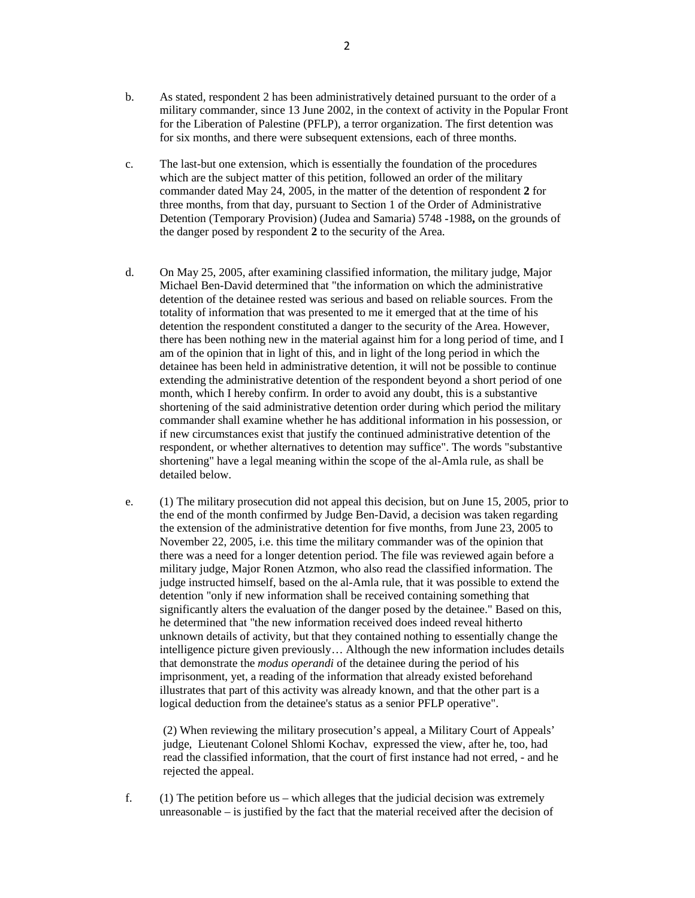- b. As stated, respondent 2 has been administratively detained pursuant to the order of a military commander, since 13 June 2002, in the context of activity in the Popular Front for the Liberation of Palestine (PFLP), a terror organization. The first detention was for six months, and there were subsequent extensions, each of three months.
- c. The last-but one extension, which is essentially the foundation of the procedures which are the subject matter of this petition, followed an order of the military commander dated May 24, 2005, in the matter of the detention of respondent **2** for three months, from that day, pursuant to Section 1 of the Order of Administrative Detention (Temporary Provision) (Judea and Samaria) 5748 - 1988**,** on the grounds of the danger posed by respondent **2** to the security of the Area.
- d. On May 25, 2005, after examining classified information, the military judge, Major Michael Ben-David determined that "the information on which the administrative detention of the detainee rested was serious and based on reliable sources. From the totality of information that was presented to me it emerged that at the time of his detention the respondent constituted a danger to the security of the Area. However, there has been nothing new in the material against him for a long period of time, and I am of the opinion that in light of this, and in light of the long period in which the detainee has been held in administrative detention, it will not be possible to continue extending the administrative detention of the respondent beyond a short period of one month, which I hereby confirm. In order to avoid any doubt, this is a substantive shortening of the said administrative detention order during which period the military commander shall examine whether he has additional information in his possession, or if new circumstances exist that justify the continued administrative detention of the respondent, or whether alternatives to detention may suffice". The words "substantive shortening" have a legal meaning within the scope of the al-Amla rule, as shall be detailed below.
- e. (1) The military prosecution did not appeal this decision, but on June 15, 2005, prior to the end of the month confirmed by Judge Ben-David, a decision was taken regarding the extension of the administrative detention for five months, from June 23, 2005 to November 22, 2005, i.e. this time the military commander was of the opinion that there was a need for a longer detention period. The file was reviewed again before a military judge, Major Ronen Atzmon, who also read the classified information. The judge instructed himself, based on the al-Amla rule, that it was possible to extend the detention "only if new information shall be received containing something that significantly alters the evaluation of the danger posed by the detainee." Based on this, he determined that "the new information received does indeed reveal hitherto unknown details of activity, but that they contained nothing to essentially change the intelligence picture given previously… Although the new information includes details that demonstrate the *modus operandi* of the detainee during the period of his imprisonment, yet, a reading of the information that already existed beforehand illustrates that part of this activity was already known, and that the other part is a logical deduction from the detainee's status as a senior PFLP operative".

(2) When reviewing the military prosecution's appeal, a Military Court of Appeals' judge, Lieutenant Colonel Shlomi Kochav, expressed the view, after he, too, had read the classified information, that the court of first instance had not erred, - and he rejected the appeal.

f. (1) The petition before us – which alleges that the judicial decision was extremely unreasonable  $-$  is justified by the fact that the material received after the decision of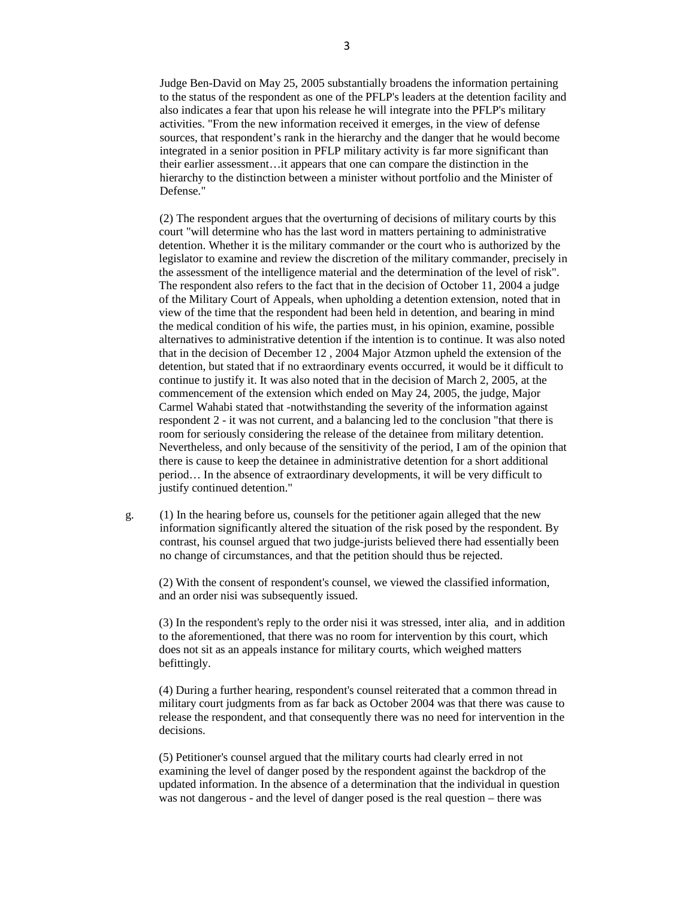Judge Ben-David on May 25, 2005 substantially broadens the information pertaining to the status of the respondent as one of the PFLP's leaders at the detention facility and also indicates a fear that upon his release he will integrate into the PFLP's military activities. "From the new information received it emerges, in the view of defense sources, that respondent's rank in the hierarchy and the danger that he would become integrated in a senior position in PFLP military activity is far more significant than their earlier assessment…it appears that one can compare the distinction in the hierarchy to the distinction between a minister without portfolio and the Minister of Defense."

(2) The respondent argues that the overturning of decisions of military courts by this court "will determine who has the last word in matters pertaining to administrative detention. Whether it is the military commander or the court who is authorized by the legislator to examine and review the discretion of the military commander, precisely in the assessment of the intelligence material and the determination of the level of risk". The respondent also refers to the fact that in the decision of October 11, 2004 a judge of the Military Court of Appeals, when upholding a detention extension, noted that in view of the time that the respondent had been held in detention, and bearing in mind the medical condition of his wife, the parties must, in his opinion, examine, possible alternatives to administrative detention if the intention is to continue. It was also noted that in the decision of December 12 , 2004 Major Atzmon upheld the extension of the detention, but stated that if no extraordinary events occurred, it would be it difficult to continue to justify it. It was also noted that in the decision of March 2, 2005, at the commencement of the extension which ended on May 24, 2005, the judge, Major Carmel Wahabi stated that -notwithstanding the severity of the information against respondent 2 - it was not current, and a balancing led to the conclusion "that there is room for seriously considering the release of the detainee from military detention. Nevertheless, and only because of the sensitivity of the period, I am of the opinion that there is cause to keep the detainee in administrative detention for a short additional period… In the absence of extraordinary developments, it will be very difficult to justify continued detention."

g. (1) In the hearing before us, counsels for the petitioner again alleged that the new information significantly altered the situation of the risk posed by the respondent. By contrast, his counsel argued that two judge-jurists believed there had essentially been no change of circumstances, and that the petition should thus be rejected.

(2) With the consent of respondent's counsel, we viewed the classified information, and an order nisi was subsequently issued.

(3) In the respondent's reply to the order nisi it was stressed, inter alia, and in addition to the aforementioned, that there was no room for intervention by this court, which does not sit as an appeals instance for military courts, which weighed matters befittingly.

(4) During a further hearing, respondent's counsel reiterated that a common thread in military court judgments from as far back as October 2004 was that there was cause to release the respondent, and that consequently there was no need for intervention in the decisions.

(5) Petitioner's counsel argued that the military courts had clearly erred in not examining the level of danger posed by the respondent against the backdrop of the updated information. In the absence of a determination that the individual in question was not dangerous - and the level of danger posed is the real question – there was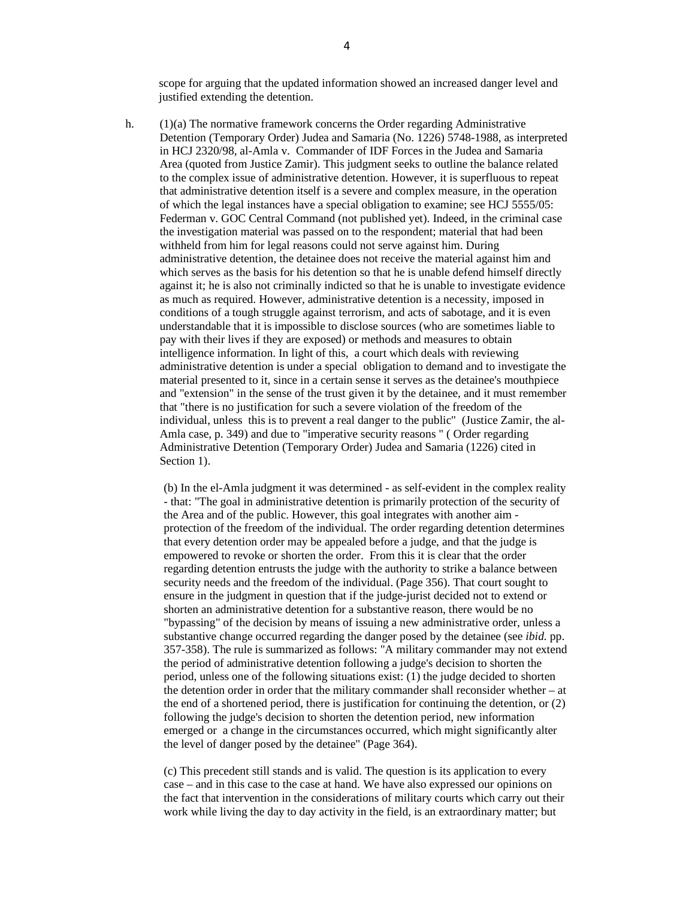scope for arguing that the updated information showed an increased danger level and justified extending the detention.

h. (1)(a) The normative framework concerns the Order regarding Administrative Detention (Temporary Order) Judea and Samaria (No. 1226) 5748-1988, as interpreted in HCJ 2320/98, al-Amla v. Commander of IDF Forces in the Judea and Samaria Area (quoted from Justice Zamir). This judgment seeks to outline the balance related to the complex issue of administrative detention. However, it is superfluous to repeat that administrative detention itself is a severe and complex measure, in the operation of which the legal instances have a special obligation to examine; see HCJ 5555/05: Federman v. GOC Central Command (not published yet). Indeed, in the criminal case the investigation material was passed on to the respondent; material that had been withheld from him for legal reasons could not serve against him. During administrative detention, the detainee does not receive the material against him and which serves as the basis for his detention so that he is unable defend himself directly against it; he is also not criminally indicted so that he is unable to investigate evidence as much as required. However, administrative detention is a necessity, imposed in conditions of a tough struggle against terrorism, and acts of sabotage, and it is even understandable that it is impossible to disclose sources (who are sometimes liable to pay with their lives if they are exposed) or methods and measures to obtain intelligence information. In light of this, a court which deals with reviewing administrative detention is under a special obligation to demand and to investigate the material presented to it, since in a certain sense it serves as the detainee's mouthpiece and "extension" in the sense of the trust given it by the detainee, and it must remember that "there is no justification for such a severe violation of the freedom of the individual, unless this is to prevent a real danger to the public" (Justice Zamir, the al-Amla case, p. 349) and due to "imperative security reasons " ( Order regarding Administrative Detention (Temporary Order) Judea and Samaria (1226) cited in Section 1).

(b) In the el-Amla judgment it was determined - as self-evident in the complex reality - that: "The goal in administrative detention is primarily protection of the security of the Area and of the public. However, this goal integrates with another aim protection of the freedom of the individual. The order regarding detention determines that every detention order may be appealed before a judge, and that the judge is empowered to revoke or shorten the order. From this it is clear that the order regarding detention entrusts the judge with the authority to strike a balance between security needs and the freedom of the individual. (Page 356). That court sought to ensure in the judgment in question that if the judge-jurist decided not to extend or shorten an administrative detention for a substantive reason, there would be no "bypassing" of the decision by means of issuing a new administrative order, unless a substantive change occurred regarding the danger posed by the detainee (see *ibid.* pp. 357-358). The rule is summarized as follows: "A military commander may not extend the period of administrative detention following a judge's decision to shorten the period, unless one of the following situations exist: (1) the judge decided to shorten the detention order in order that the military commander shall reconsider whether – at the end of a shortened period, there is justification for continuing the detention, or (2) following the judge's decision to shorten the detention period, new information emerged or a change in the circumstances occurred, which might significantly alter the level of danger posed by the detainee" (Page 364).

(c) This precedent still stands and is valid. The question is its application to every case – and in this case to the case at hand. We have also expressed our opinions on the fact that intervention in the considerations of military courts which carry out their work while living the day to day activity in the field, is an extraordinary matter; but